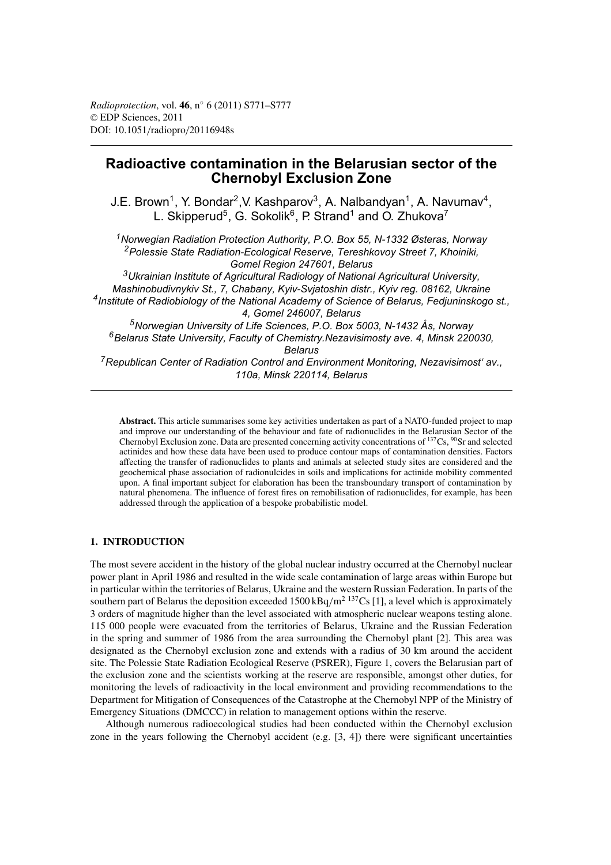# **Radioactive contamination in the Belarusian sector of the Chernobyl Exclusion Zone**

J.E. Brown<sup>1</sup>, Y. Bondar<sup>2</sup>, V. Kashparov<sup>3</sup>, A. Nalbandyan<sup>1</sup>, A. Navumav<sup>4</sup>, L. Skipperud<sup>5</sup>, G. Sokolik<sup>6</sup>, P. Strand<sup>1</sup> and O. Zhukova<sup>7</sup>

*1Norwegian Radiation Protection Authority, P.O. Box 55, N-1332 Østeras, Norway 2Polessie State Radiation-Ecological Reserve, Tereshkovoy Street 7, Khoiniki, Gomel Region 247601, Belarus*

*3Ukrainian Institute of Agricultural Radiology of National Agricultural University, Mashinobudivnykiv St., 7, Chabany, Kyiv-Svjatoshin distr., Kyiv reg. 08162, Ukraine 4Institute of Radiobiology of the National Academy of Science of Belarus, Fedjuninskogo st., 4, Gomel 246007, Belarus 5Norwegian University of Life Sciences, P.O. Box 5003, N-1432 Ås, Norway*

*6Belarus State University, Faculty of Chemistry.Nezavisimosty ave. 4, Minsk 220030, Belarus*

*7Republican Center of Radiation Control and Environment Monitoring, Nezavisimost' av., 110a, Minsk 220114, Belarus*

**Abstract.** This article summarises some key activities undertaken as part of a NATO-funded project to map and improve our understanding of the behaviour and fate of radionuclides in the Belarusian Sector of the Chernobyl Exclusion zone. Data are presented concerning activity concentrations of 137Cs, 90Sr and selected actinides and how these data have been used to produce contour maps of contamination densities. Factors affecting the transfer of radionuclides to plants and animals at selected study sites are considered and the geochemical phase association of radionulcides in soils and implications for actinide mobility commented upon. A final important subject for elaboration has been the transboundary transport of contamination by natural phenomena. The influence of forest fires on remobilisation of radionuclides, for example, has been addressed through the application of a bespoke probabilistic model.

## **1. INTRODUCTION**

The most severe accident in the history of the global nuclear industry occurred at the Chernobyl nuclear power plant in April 1986 and resulted in the wide scale contamination of large areas within Europe but in particular within the territories of Belarus, Ukraine and the western Russian Federation. In parts of the southern part of Belarus the deposition exceeded  $1500 \text{ kBq/m}^2$  137Cs [1], a level which is approximately 3 orders of magnitude higher than the level associated with atmospheric nuclear weapons testing alone. 115 000 people were evacuated from the territories of Belarus, Ukraine and the Russian Federation in the spring and summer of 1986 from the area surrounding the Chernobyl plant [2]. This area was designated as the Chernobyl exclusion zone and extends with a radius of 30 km around the accident site. The Polessie State Radiation Ecological Reserve (PSRER), Figure 1, covers the Belarusian part of the exclusion zone and the scientists working at the reserve are responsible, amongst other duties, for monitoring the levels of radioactivity in the local environment and providing recommendations to the Department for Mitigation of Consequences of the Catastrophe at the Chernobyl NPP of the Ministry of Emergency Situations (DMCCC) in relation to management options within the reserve.

Although numerous radioecological studies had been conducted within the Chernobyl exclusion zone in the years following the Chernobyl accident (e.g. [3, 4]) there were significant uncertainties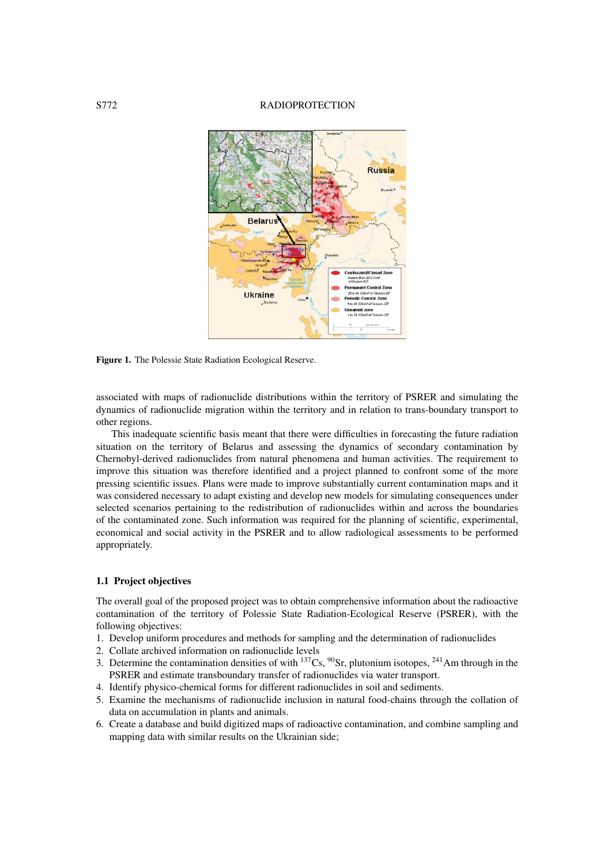## S772 RADIOPROTECTION



**Figure 1.** The Polessie State Radiation Ecological Reserve.

associated with maps of radionuclide distributions within the territory of PSRER and simulating the dynamics of radionuclide migration within the territory and in relation to trans-boundary transport to other regions.

This inadequate scientific basis meant that there were difficulties in forecasting the future radiation situation on the territory of Belarus and assessing the dynamics of secondary contamination by Chernobyl-derived radionuclides from natural phenomena and human activities. The requirement to improve this situation was therefore identified and a project planned to confront some of the more pressing scientific issues. Plans were made to improve substantially current contamination maps and it was considered necessary to adapt existing and develop new models for simulating consequences under selected scenarios pertaining to the redistribution of radionuclides within and across the boundaries of the contaminated zone. Such information was required for the planning of scientific, experimental, economical and social activity in the PSRER and to allow radiological assessments to be performed appropriately.

# **1.1 Project objectives**

The overall goal of the proposed project was to obtain comprehensive information about the radioactive contamination of the territory of Polessie State Radiation-Ecological Reserve (PSRER), with the following objectives:

- 1. Develop uniform procedures and methods for sampling and the determination of radionuclides
- 2. Collate archived information on radionuclide levels
- 3. Determine the contamination densities of with  $^{137}Cs$ ,  $^{90}Sr$ , plutonium isotopes,  $^{241}Am$  through in the PSRER and estimate transboundary transfer of radionuclides via water transport.
- 4. Identify physico-chemical forms for different radionuclides in soil and sediments.
- 5. Examine the mechanisms of radionuclide inclusion in natural food-chains through the collation of data on accumulation in plants and animals.
- 6. Create a database and build digitized maps of radioactive contamination, and combine sampling and mapping data with similar results on the Ukrainian side;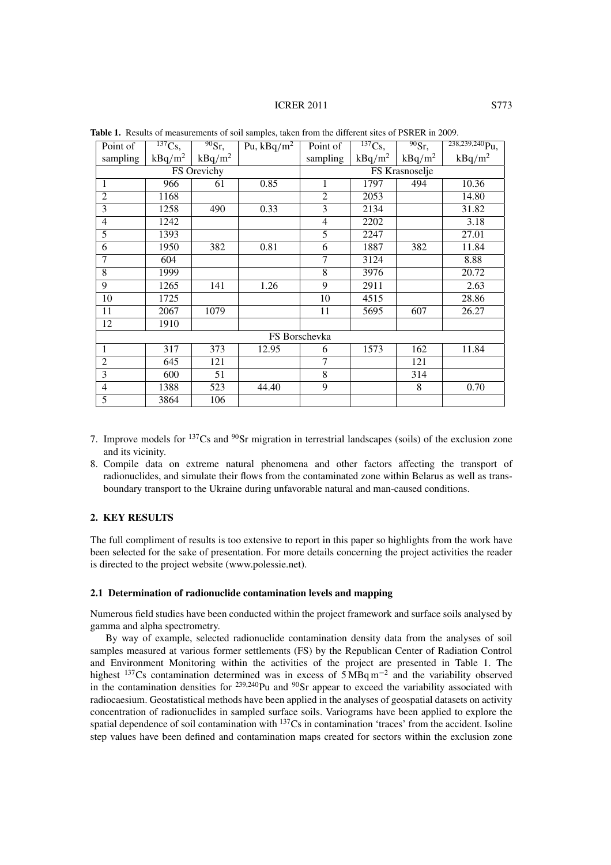#### ICRER 2011 S773

| Point of                 | $\overline{^{137}\text{Cs}}$ , | $\frac{90}{ST}$ | Pu, $\overline{\text{kBq/m}^2}$ | Point of       | $\overline{^{137}\text{Cs}},$ | $\overline{^{90}Sr, }$ | $238,239,240$ Pu, |  |
|--------------------------|--------------------------------|-----------------|---------------------------------|----------------|-------------------------------|------------------------|-------------------|--|
| sampling                 | $kBq/m^2$                      | $kBq/m^2$       |                                 | sampling       | $kBq/m^2$                     | $kBq/m^2$              | $kBq/m^2$         |  |
| FS Orevichy              |                                |                 |                                 | FS Krasnoselje |                               |                        |                   |  |
| $\mathbf 1$              | 966                            | 61              | 0.85                            | 1              | 1797                          | 494                    | 10.36             |  |
| $\overline{2}$           | 1168                           |                 |                                 | $\overline{2}$ | 2053                          |                        | 14.80             |  |
| $\overline{3}$           | 1258                           | 490             | 0.33                            | 3              | 2134                          |                        | 31.82             |  |
| $\overline{4}$           | 1242                           |                 |                                 | $\overline{4}$ | 2202                          |                        | 3.18              |  |
| $\overline{5}$           | 1393                           |                 |                                 | 5              | 2247                          |                        | 27.01             |  |
| $\overline{6}$           | 1950                           | 382             | 0.81                            | $\overline{6}$ | 1887                          | 382                    | 11.84             |  |
| 7                        | 604                            |                 |                                 | 7              | 3124                          |                        | 8.88              |  |
| 8                        | 1999                           |                 |                                 | 8              | 3976                          |                        | 20.72             |  |
| $\overline{9}$           | 1265                           | 141             | 1.26                            | 9              | 2911                          |                        | 2.63              |  |
| 10                       | 1725                           |                 |                                 | 10             | 4515                          |                        | 28.86             |  |
| 11                       | 2067                           | 1079            |                                 | 11             | 5695                          | 607                    | 26.27             |  |
| 12                       | 1910                           |                 |                                 |                |                               |                        |                   |  |
| FS Borschevka            |                                |                 |                                 |                |                               |                        |                   |  |
| 1                        | 317                            | 373             | 12.95                           | 6              | 1573                          | 162                    | 11.84             |  |
| $\overline{2}$           | 645                            | 121             |                                 | 7              |                               | 121                    |                   |  |
| $\overline{3}$           | 600                            | 51              |                                 | $\overline{8}$ |                               | 314                    |                   |  |
| $\overline{\mathcal{L}}$ | 1388                           | 523             | 44.40                           | $\overline{9}$ |                               | 8                      | 0.70              |  |
| $\overline{5}$           | 3864                           | 106             |                                 |                |                               |                        |                   |  |

**Table 1.** Results of measurements of soil samples, taken from the different sites of PSRER in 2009.

- 7. Improve models for  $137Cs$  and  $90Sr$  migration in terrestrial landscapes (soils) of the exclusion zone and its vicinity.
- 8. Compile data on extreme natural phenomena and other factors affecting the transport of radionuclides, and simulate their flows from the contaminated zone within Belarus as well as transboundary transport to the Ukraine during unfavorable natural and man-caused conditions.

# **2. KEY RESULTS**

The full compliment of results is too extensive to report in this paper so highlights from the work have been selected for the sake of presentation. For more details concerning the project activities the reader is directed to the project website (www.polessie.net).

## **2.1 Determination of radionuclide contamination levels and mapping**

Numerous field studies have been conducted within the project framework and surface soils analysed by gamma and alpha spectrometry.

By way of example, selected radionuclide contamination density data from the analyses of soil samples measured at various former settlements (FS) by the Republican Center of Radiation Control and Environment Monitoring within the activities of the project are presented in Table 1. The highest 137Cs contamination determined was in excess of 5 MBq m−<sup>2</sup> and the variability observed in the contamination densities for  $^{239,240}$ Pu and  $^{90}$ Sr appear to exceed the variability associated with radiocaesium. Geostatistical methods have been applied in the analyses of geospatial datasets on activity concentration of radionuclides in sampled surface soils. Variograms have been applied to explore the spatial dependence of soil contamination with <sup>137</sup>Cs in contamination 'traces' from the accident. Isoline step values have been defined and contamination maps created for sectors within the exclusion zone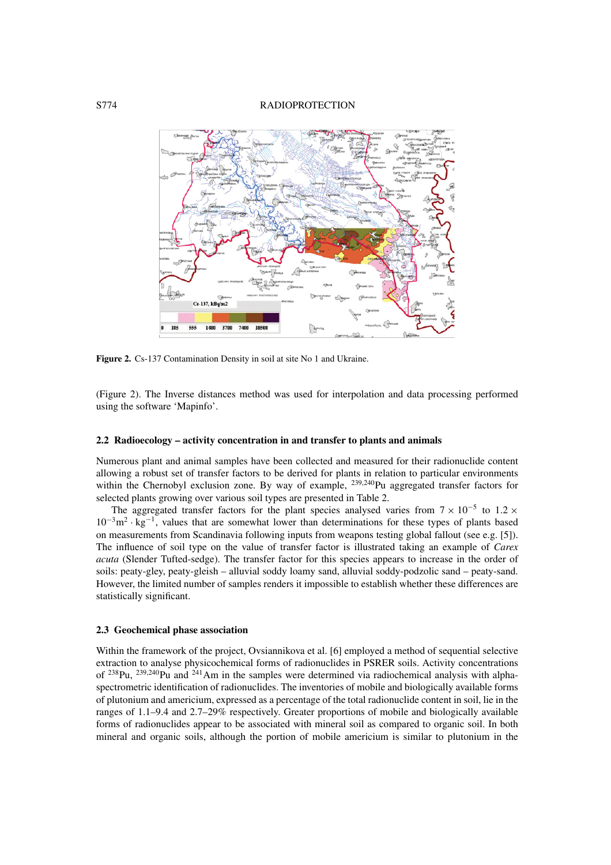#### S774 RADIOPROTECTION



**Figure 2.** Cs-137 Contamination Density in soil at site No 1 and Ukraine.

(Figure 2). The Inverse distances method was used for interpolation and data processing performed using the software 'Mapinfo'.

#### **2.2 Radioecology – activity concentration in and transfer to plants and animals**

Numerous plant and animal samples have been collected and measured for their radionuclide content allowing a robust set of transfer factors to be derived for plants in relation to particular environments within the Chernobyl exclusion zone. By way of example, <sup>239,240</sup>Pu aggregated transfer factors for selected plants growing over various soil types are presented in Table 2.

The aggregated transfer factors for the plant species analysed varies from  $7 \times 10^{-5}$  to 1.2  $\times$  $10^{-3}$ m<sup>2</sup> · kg<sup>-1</sup>, values that are somewhat lower than determinations for these types of plants based on measurements from Scandinavia following inputs from weapons testing global fallout (see e.g. [5]). The influence of soil type on the value of transfer factor is illustrated taking an example of *Carex acuta* (Slender Tufted-sedge). The transfer factor for this species appears to increase in the order of soils: peaty-gley, peaty-gleish – alluvial soddy loamy sand, alluvial soddy-podzolic sand – peaty-sand. However, the limited number of samples renders it impossible to establish whether these differences are statistically significant.

#### **2.3 Geochemical phase association**

Within the framework of the project, Ovsiannikova et al. [6] employed a method of sequential selective extraction to analyse physicochemical forms of radionuclides in PSRER soils. Activity concentrations of  $^{238}$ Pu,  $^{239,240}$ Pu and  $^{241}$ Am in the samples were determined via radiochemical analysis with alphaspectrometric identification of radionuclides. The inventories of mobile and biologically available forms of plutonium and americium, expressed as a percentage of the total radionuclide content in soil, lie in the ranges of 1.1–9.4 and 2.7–29% respectively. Greater proportions of mobile and biologically available forms of radionuclides appear to be associated with mineral soil as compared to organic soil. In both mineral and organic soils, although the portion of mobile americium is similar to plutonium in the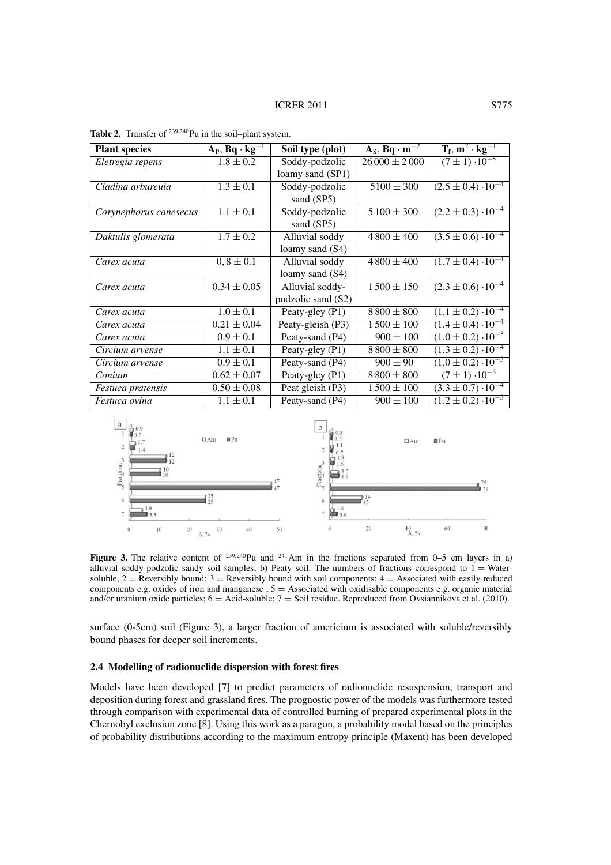| <b>Plant species</b>     | $A_P$ , Bq · kg <sup>-1</sup> | Soil type (plot)   | $A_S$ , Bq · m <sup>-2</sup> | $T_f$ , $m^2 \cdot kg^{-1}$   |
|--------------------------|-------------------------------|--------------------|------------------------------|-------------------------------|
| Eletregia repens         | $1.8 \pm 0.2$                 | Soddy-podzolic     | $26000 \pm 2000$             | $(7 \pm 1) \cdot 10^{-5}$     |
|                          |                               | loamy sand (SP1)   |                              |                               |
| Cladina arbureula        | $1.3 \pm 0.1$                 | Soddy-podzolic     | $5100 \pm 300$               | $(2.5 \pm 0.4) \cdot 10^{-4}$ |
|                          |                               | sand (SP5)         |                              |                               |
| Corynephorus canesecus   | $1.1 \pm 0.1$                 | Soddy-podzolic     | $5100 \pm 300$               | $(2.2 \pm 0.3) \cdot 10^{-4}$ |
|                          |                               | sand (SP5)         |                              |                               |
| Daktulis glomerata       | $1.7 \pm 0.2$                 | Alluvial soddy     | $4800 \pm 400$               | $(3.5 \pm 0.6) \cdot 10^{-4}$ |
|                          |                               | loamy sand (S4)    |                              |                               |
| Carex acuta              | $0, 8 \pm 0.1$                | Alluvial soddy     | $4800 \pm 400$               | $(1.7 \pm 0.4) \cdot 10^{-4}$ |
|                          |                               | loamy sand (S4)    |                              |                               |
| Carex acuta              | $0.34 \pm 0.05$               | Alluvial soddy-    | $1500 \pm 150$               | $(2.3 \pm 0.6) \cdot 10^{-4}$ |
|                          |                               | podzolic sand (S2) |                              |                               |
| Carex acuta              | $1.0 \pm 0.1$                 | Peaty-gley (P1)    | $8800 \pm 800$               | $(1.1 \pm 0.2) \cdot 10^{-4}$ |
| Carex acuta              | $0.21 \pm 0.04$               | Peaty-gleish (P3)  | $1500 \pm 100$               | $(1.4 \pm 0.4) \cdot 10^{-4}$ |
| Carex acuta              | $0.9 \pm 0.1$                 | Peaty-sand (P4)    | $900 \pm 100$                | $(1.0 \pm 0.2) \cdot 10^{-3}$ |
| Circium arvense          | $1.1 \pm 0.1$                 | Peaty-gley (P1)    | $8800 \pm 800$               | $(1.3 \pm 0.2) \cdot 10^{-4}$ |
| Circium arvense          | $0.9 \pm 0.1$                 | Peaty-sand (P4)    | $900 \pm 90$                 | $(1.0 \pm 0.2) \cdot 10^{-3}$ |
| Conium                   | $0.62 \pm 0.07$               | Peaty-gley (P1)    | $8800 \pm 800$               | $(7 \pm 1) \cdot 10^{-5}$     |
| <i>Festuca pratensis</i> | $0.50 \pm 0.08$               | Peat gleish (P3)   | $1500 \pm 100$               | $(3.3 \pm 0.7) \cdot 10^{-4}$ |
| Festuca ovina            | $1.1 \pm 0.1$                 | Peaty-sand (P4)    | $900 \pm 100$                | $(1.2 \pm 0.2) \cdot 10^{-3}$ |

Table 2. Transfer of <sup>239,240</sup>Pu in the soil–plant system.



**Figure 3.** The relative content of <sup>239,240</sup>Pu and <sup>241</sup>Am in the fractions separated from 0–5 cm layers in a) alluvial soddy-podzolic sandy soil samples; b) Peaty soil. The numbers of fractions correspond to  $1 =$  Watersoluble,  $2 =$  Reversibly bound;  $3 =$  Reversibly bound with soil components;  $4 =$  Associated with easily reduced components e.g. oxides of iron and manganese ; 5 = Associated with oxidisable components e.g. organic material and/or uranium oxide particles; 6 = Acid-soluble; 7 = Soil residue. Reproduced from Ovsiannikova et al. (2010).

surface (0-5cm) soil (Figure 3), a larger fraction of americium is associated with soluble/reversibly bound phases for deeper soil increments.

## **2.4 Modelling of radionuclide dispersion with forest fires**

Models have been developed [7] to predict parameters of radionuclide resuspension, transport and deposition during forest and grassland fires. The prognostic power of the models was furthermore tested through comparison with experimental data of controlled burning of prepared experimental plots in the Chernobyl exclusion zone [8]. Using this work as a paragon, a probability model based on the principles of probability distributions according to the maximum entropy principle (Maxent) has been developed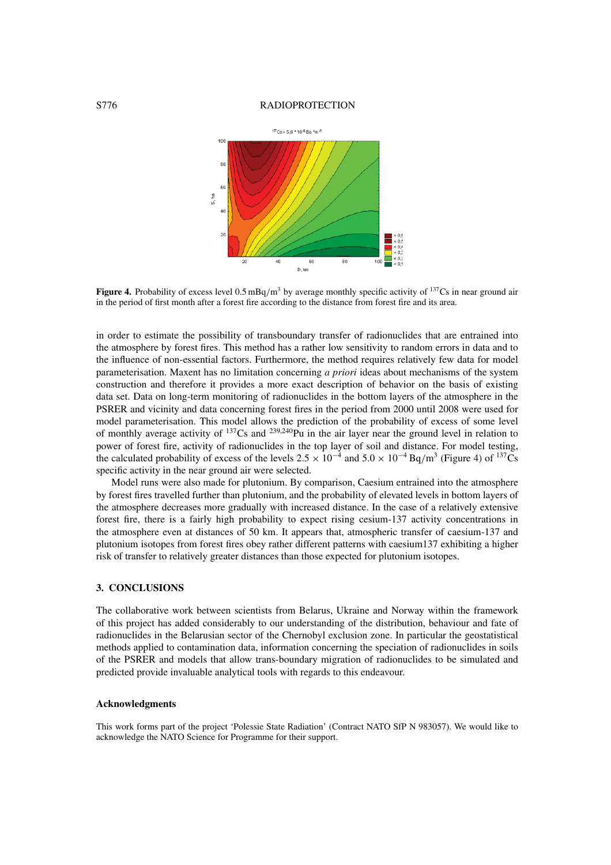#### S776 RADIOPROTECTION



Figure 4. Probability of excess level 0.5 mBq/m<sup>3</sup> by average monthly specific activity of <sup>137</sup>Cs in near ground air in the period of first month after a forest fire according to the distance from forest fire and its area.

in order to estimate the possibility of transboundary transfer of radionuclides that are entrained into the atmosphere by forest fires. This method has a rather low sensitivity to random errors in data and to the influence of non-essential factors. Furthermore, the method requires relatively few data for model parameterisation. Maxent has no limitation concerning *a priori* ideas about mechanisms of the system construction and therefore it provides a more exact description of behavior on the basis of existing data set. Data on long-term monitoring of radionuclides in the bottom layers of the atmosphere in the PSRER and vicinity and data concerning forest fires in the period from 2000 until 2008 were used for model parameterisation. This model allows the prediction of the probability of excess of some level of monthly average activity of  $^{137}Cs$  and  $^{239,240}Pu$  in the air layer near the ground level in relation to power of forest fire, activity of radionuclides in the top layer of soil and distance. For model testing, the calculated probability of excess of the levels  $2.5 \times 10^{-4}$  and  $5.0 \times 10^{-4}$  Bq/m<sup>3</sup> (Figure 4) of <sup>137</sup>Cs specific activity in the near ground air were selected.

Model runs were also made for plutonium. By comparison, Caesium entrained into the atmosphere by forest fires travelled further than plutonium, and the probability of elevated levels in bottom layers of the atmosphere decreases more gradually with increased distance. In the case of a relatively extensive forest fire, there is a fairly high probability to expect rising cesium-137 activity concentrations in the atmosphere even at distances of 50 km. It appears that, atmospheric transfer of caesium-137 and plutonium isotopes from forest fires obey rather different patterns with caesium137 exhibiting a higher risk of transfer to relatively greater distances than those expected for plutonium isotopes.

## **3. CONCLUSIONS**

The collaborative work between scientists from Belarus, Ukraine and Norway within the framework of this project has added considerably to our understanding of the distribution, behaviour and fate of radionuclides in the Belarusian sector of the Chernobyl exclusion zone. In particular the geostatistical methods applied to contamination data, information concerning the speciation of radionuclides in soils of the PSRER and models that allow trans-boundary migration of radionuclides to be simulated and predicted provide invaluable analytical tools with regards to this endeavour.

# **Acknowledgments**

This work forms part of the project 'Polessie State Radiation' (Contract NATO SfP N 983057). We would like to acknowledge the NATO Science for Programme for their support.